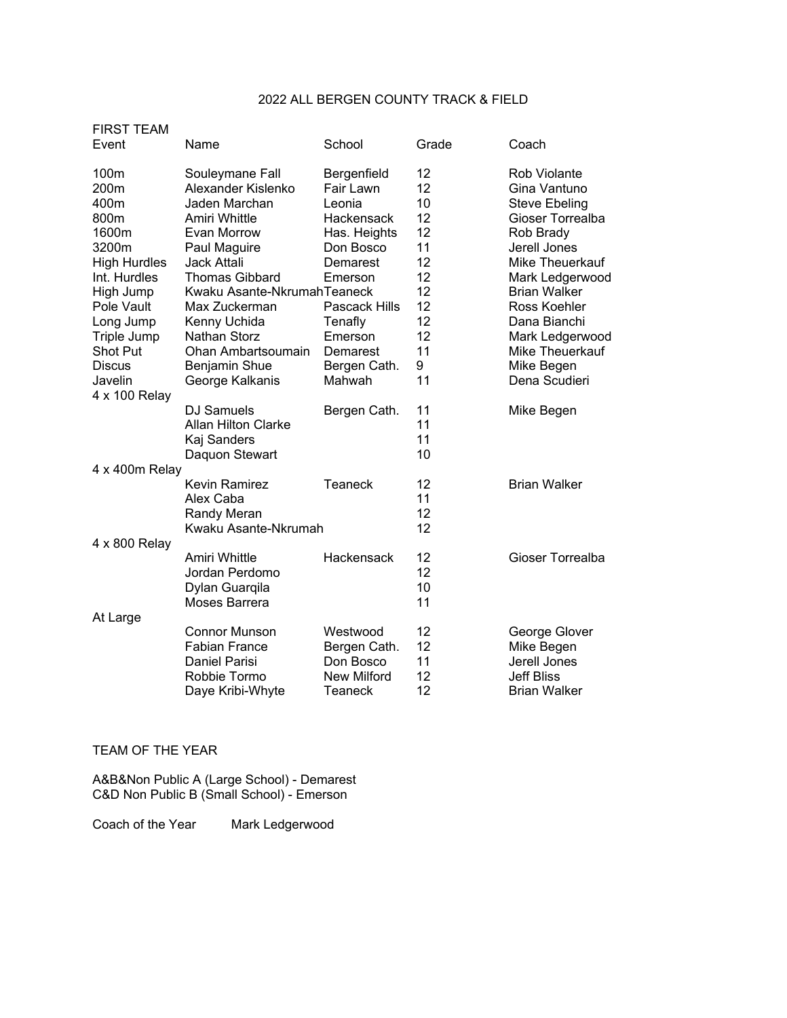## 2022 ALL BERGEN COUNTY TRACK & FIELD

| <b>FIRST TEAM</b><br>Event                                                                                                                                                                                   | Name                                                                                                                                                                                                                                                                                                          | School                                                                                                                                                                            | Grade                                                                                 | Coach                                                                                                                                                                                                                                                                   |
|--------------------------------------------------------------------------------------------------------------------------------------------------------------------------------------------------------------|---------------------------------------------------------------------------------------------------------------------------------------------------------------------------------------------------------------------------------------------------------------------------------------------------------------|-----------------------------------------------------------------------------------------------------------------------------------------------------------------------------------|---------------------------------------------------------------------------------------|-------------------------------------------------------------------------------------------------------------------------------------------------------------------------------------------------------------------------------------------------------------------------|
| 100m<br>200m<br>400m<br>800m<br>1600m<br>3200m<br><b>High Hurdles</b><br>Int. Hurdles<br>High Jump<br>Pole Vault<br>Long Jump<br>Triple Jump<br><b>Shot Put</b><br><b>Discus</b><br>Javelin<br>4 x 100 Relay | Souleymane Fall<br>Alexander Kislenko<br>Jaden Marchan<br>Amiri Whittle<br>Evan Morrow<br>Paul Maguire<br><b>Jack Attali</b><br><b>Thomas Gibbard</b><br>Kwaku Asante-NkrumahTeaneck<br>Max Zuckerman<br>Kenny Uchida<br><b>Nathan Storz</b><br>Ohan Ambartsoumain<br><b>Benjamin Shue</b><br>George Kalkanis | Bergenfield<br>Fair Lawn<br>Leonia<br>Hackensack<br>Has. Heights<br>Don Bosco<br>Demarest<br>Emerson<br>Pascack Hills<br>Tenafly<br>Emerson<br>Demarest<br>Bergen Cath.<br>Mahwah | 12<br>12<br>10<br>12<br>12<br>11<br>12<br>12<br>12<br>12<br>12<br>12<br>11<br>9<br>11 | Rob Violante<br>Gina Vantuno<br><b>Steve Ebeling</b><br>Gioser Torrealba<br>Rob Brady<br>Jerell Jones<br>Mike Theuerkauf<br>Mark Ledgerwood<br><b>Brian Walker</b><br>Ross Koehler<br>Dana Bianchi<br>Mark Ledgerwood<br>Mike Theuerkauf<br>Mike Begen<br>Dena Scudieri |
|                                                                                                                                                                                                              | <b>DJ Samuels</b><br><b>Allan Hilton Clarke</b><br>Kaj Sanders<br>Daquon Stewart                                                                                                                                                                                                                              | Bergen Cath.                                                                                                                                                                      | 11<br>11<br>11<br>10                                                                  | Mike Begen                                                                                                                                                                                                                                                              |
| 4 x 400m Relay                                                                                                                                                                                               | Kevin Ramirez<br>Alex Caba<br>Randy Meran<br>Kwaku Asante-Nkrumah                                                                                                                                                                                                                                             | Teaneck                                                                                                                                                                           | 12<br>11<br>12<br>12                                                                  | <b>Brian Walker</b>                                                                                                                                                                                                                                                     |
| 4 x 800 Relay                                                                                                                                                                                                | Amiri Whittle<br>Jordan Perdomo<br>Dylan Guarqila<br>Moses Barrera                                                                                                                                                                                                                                            | Hackensack                                                                                                                                                                        | 12<br>12<br>10<br>11                                                                  | Gioser Torrealba                                                                                                                                                                                                                                                        |
| At Large                                                                                                                                                                                                     | <b>Connor Munson</b><br><b>Fabian France</b><br>Daniel Parisi<br>Robbie Tormo<br>Daye Kribi-Whyte                                                                                                                                                                                                             | Westwood<br>Bergen Cath.<br>Don Bosco<br><b>New Milford</b><br>Teaneck                                                                                                            | 12<br>12<br>11<br>12<br>12                                                            | George Glover<br>Mike Begen<br>Jerell Jones<br><b>Jeff Bliss</b><br><b>Brian Walker</b>                                                                                                                                                                                 |

## TEAM OF THE YEAR

A&B&Non Public A (Large School) - Demarest C&D Non Public B (Small School) - Emerson

Coach of the Year Mark Ledgerwood